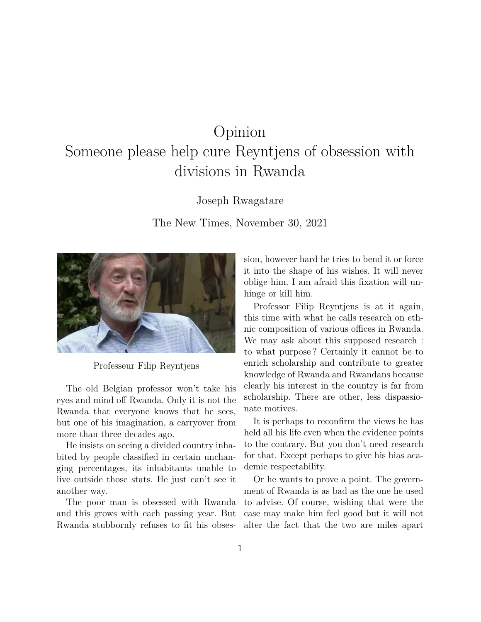## Opinion

## Someone please help cure Reyntjens of obsession with divisions in Rwanda

Joseph Rwagatare

The New Times, November 30, 2021



Professeur Filip Reyntjens

The old Belgian professor won't take his eyes and mind off Rwanda. Only it is not the Rwanda that everyone knows that he sees, but one of his imagination, a carryover from more than three decades ago.

He insists on seeing a divided country inhabited by people classified in certain unchanging percentages, its inhabitants unable to live outside those stats. He just can't see it another way.

The poor man is obsessed with Rwanda and this grows with each passing year. But Rwanda stubbornly refuses to fit his obsession, however hard he tries to bend it or force it into the shape of his wishes. It will never oblige him. I am afraid this fixation will unhinge or kill him.

Professor Filip Reyntjens is at it again, this time with what he calls research on ethnic composition of various offices in Rwanda. We may ask about this supposed research : to what purpose ? Certainly it cannot be to enrich scholarship and contribute to greater knowledge of Rwanda and Rwandans because clearly his interest in the country is far from scholarship. There are other, less dispassionate motives.

It is perhaps to reconfirm the views he has held all his life even when the evidence points to the contrary. But you don't need research for that. Except perhaps to give his bias academic respectability.

Or he wants to prove a point. The government of Rwanda is as bad as the one he used to advise. Of course, wishing that were the case may make him feel good but it will not alter the fact that the two are miles apart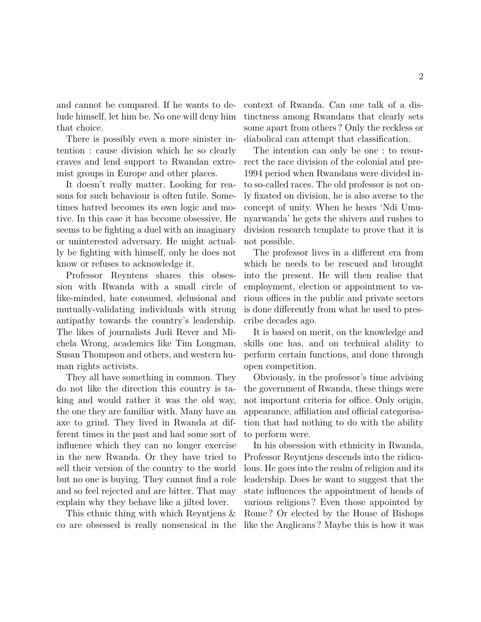and cannot be compared. If he wants to delude himself, let him be. No one will deny him that choice.

There is possibly even a more sinister intention : cause division which he so clearly craves and lend support to Rwandan extremist groups in Europe and other places.

It doesn't really matter. Looking for reasons for such behaviour is often futile. Sometimes hatred becomes its own logic and motive. In this case it has become obsessive. He seems to be fighting a duel with an imaginary or uninterested adversary. He might actually be fighting with himself, only he does not know or refuses to acknowledge it.

Professor Reyntens shares this obsession with Rwanda with a small circle of like-minded, hate consumed, delusional and mutually-validating individuals with strong antipathy towards the country's leadership. The likes of journalists Judi Rever and Michela Wrong, academics like Tim Longman, Susan Thompson and others, and western human rights activists.

They all have something in common. They do not like the direction this country is taking and would rather it was the old way, the one they are familiar with. Many have an axe to grind. They lived in Rwanda at different times in the past and had some sort of influence which they can no longer exercise in the new Rwanda. Or they have tried to sell their version of the country to the world but no one is buying. They cannot find a role and so feel rejected and are bitter. That may explain why they behave like a jilted lover.

This ethnic thing with which Reyntjens & co are obsessed is really nonsensical in the context of Rwanda. Can one talk of a distinctness among Rwandans that clearly sets some apart from others ? Only the reckless or diabolical can attempt that classification.

The intention can only be one : to resurrect the race division of the colonial and pre-1994 period when Rwandans were divided into so-called races. The old professor is not only fixated on division, he is also averse to the concept of unity. When he hears 'Ndi Umunyarwanda' he gets the shivers and rushes to division research template to prove that it is not possible.

The professor lives in a different era from which he needs to be rescued and brought into the present. He will then realise that employment, election or appointment to various offices in the public and private sectors is done differently from what he used to prescribe decades ago.

It is based on merit, on the knowledge and skills one has, and on technical ability to perform certain functions, and done through open competition.

Obviously, in the professor's time advising the government of Rwanda, these things were not important criteria for office. Only origin, appearance, affiliation and official categorisation that had nothing to do with the ability to perform were.

In his obsession with ethnicity in Rwanda, Professor Reyntjens descends into the ridiculous. He goes into the realm of religion and its leadership. Does he want to suggest that the state influences the appointment of heads of various religions ? Even those appointed by Rome ? Or elected by the House of Bishops like the Anglicans ? Maybe this is how it was